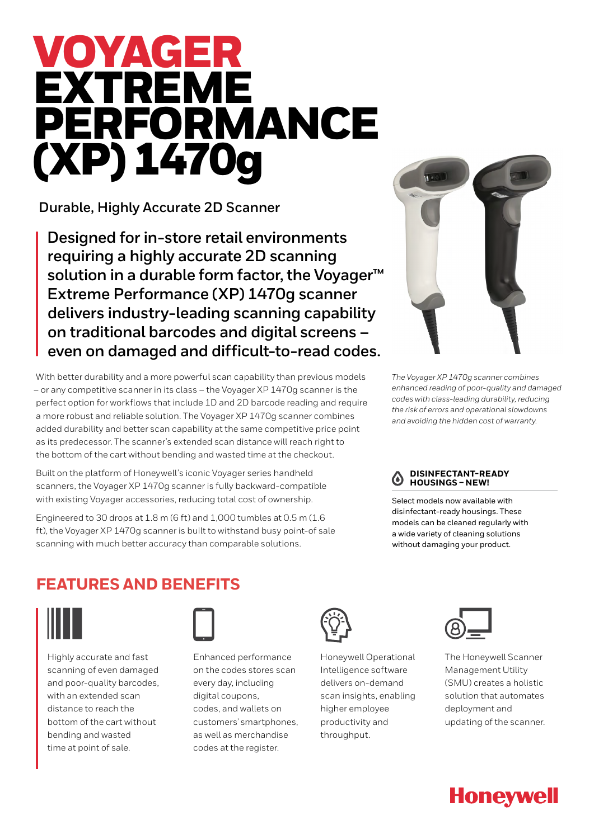# VOYAGER EXTREME PERFORMANCE (XP) 1470g

**Durable, Highly Accurate 2D Scanner**

**Designed for in-store retail environments requiring a highly accurate 2D scanning solution in a durable form factor, the Voyager™ Extreme Performance (XP) 1470g scanner delivers industry-leading scanning capability on traditional barcodes and digital screens – even on damaged and difficult-to-read codes.**

With better durability and a more powerful scan capability than previous models – or any competitive scanner in its class – the Voyager XP 1470g scanner is the perfect option for workflows that include 1D and 2D barcode reading and require a more robust and reliable solution. The Voyager XP 1470g scanner combines added durability and better scan capability at the same competitive price point as its predecessor. The scanner's extended scan distance will reach right to the bottom of the cart without bending and wasted time at the checkout.

Built on the platform of Honeywell's iconic Voyager series handheld scanners, the Voyager XP 1470g scanner is fully backward-compatible with existing Voyager accessories, reducing total cost of ownership.

Engineered to 30 drops at 1.8 m (6 ft) and 1,000 tumbles at 0.5 m (1.6 ft), the Voyager XP 1470g scanner is built to withstand busy point-of sale scanning with much better accuracy than comparable solutions.



*The Voyager XP 1470g scanner combines enhanced reading of poor-quality and damaged codes with class-leading durability, reducing the risk of errors and operational slowdowns and avoiding the hidden cost of warranty.*



Select models now available with disinfectant-ready housings. These models can be cleaned regularly with a wide variety of cleaning solutions without damaging your product.

## **FEATURES AND BENEFITS**



Highly accurate and fast scanning of even damaged and poor-quality barcodes, with an extended scan distance to reach the bottom of the cart without bending and wasted time at point of sale.



Enhanced performance on the codes stores scan every day, including digital coupons, codes, and wallets on customers' smartphones, as well as merchandise codes at the register.



Honeywell Operational Intelligence software delivers on-demand scan insights, enabling higher employee productivity and throughput.



The Honeywell Scanner Management Utility (SMU) creates a holistic solution that automates deployment and updating of the scanner.